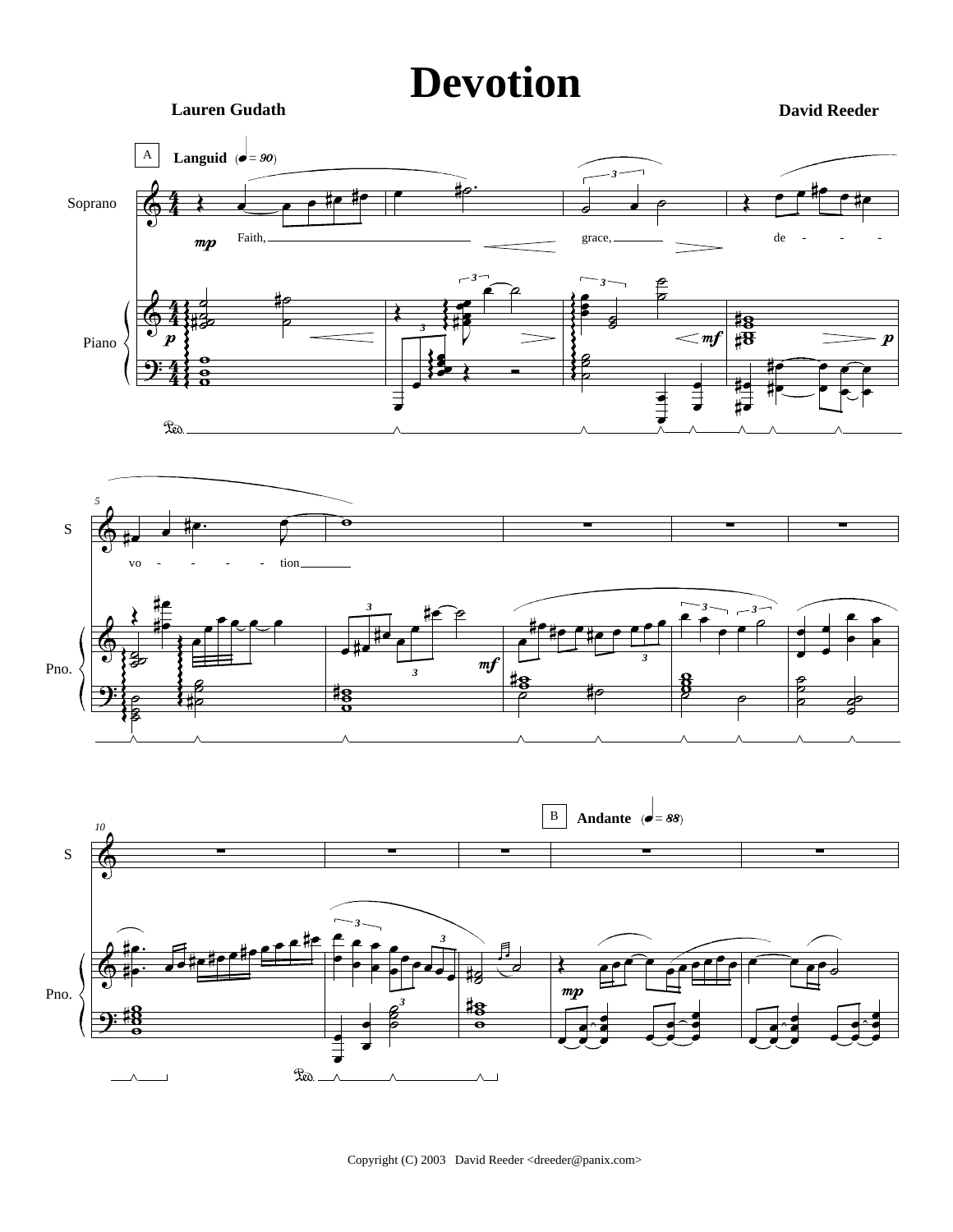**Lauren Gudath** 

**David Reeder** 

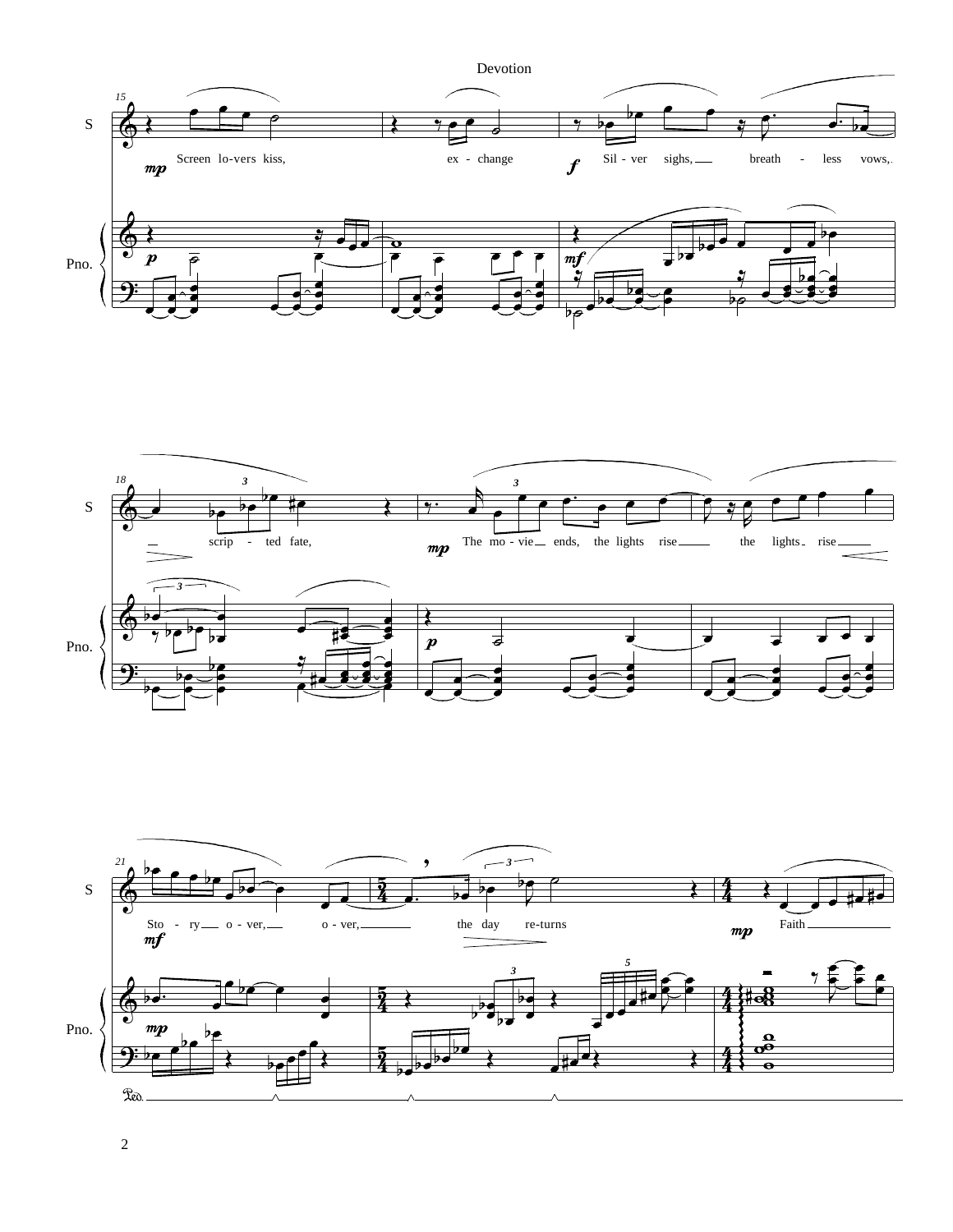



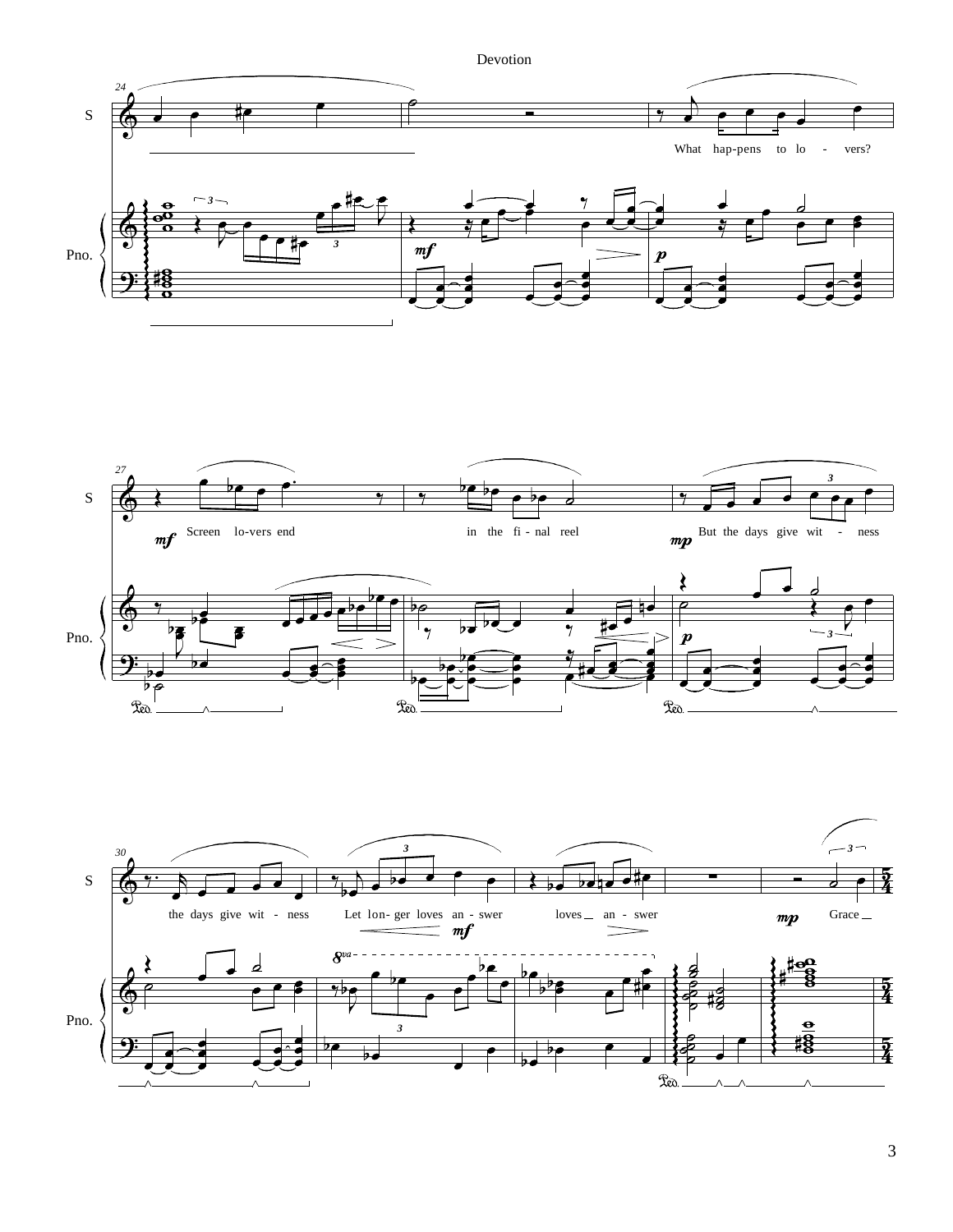



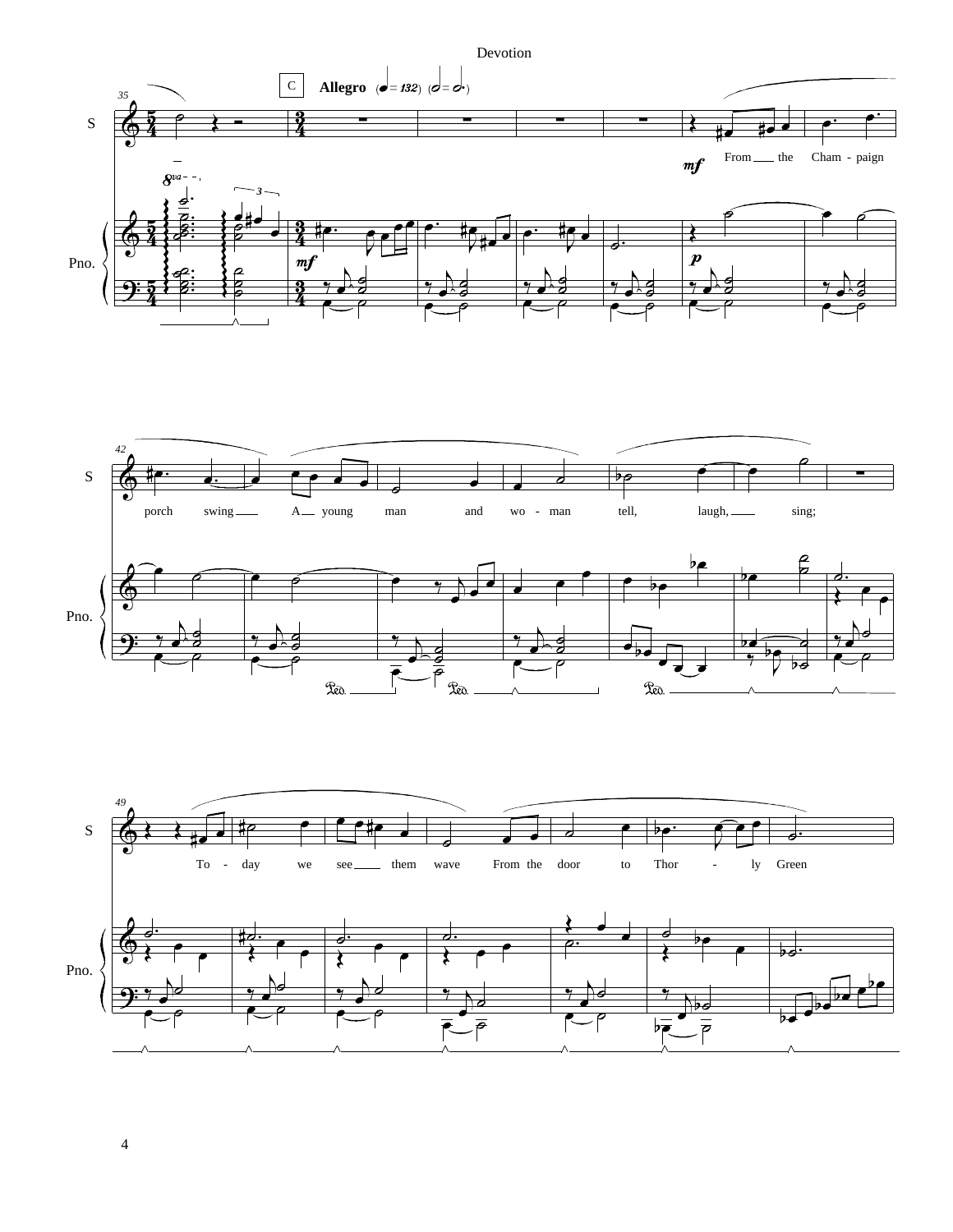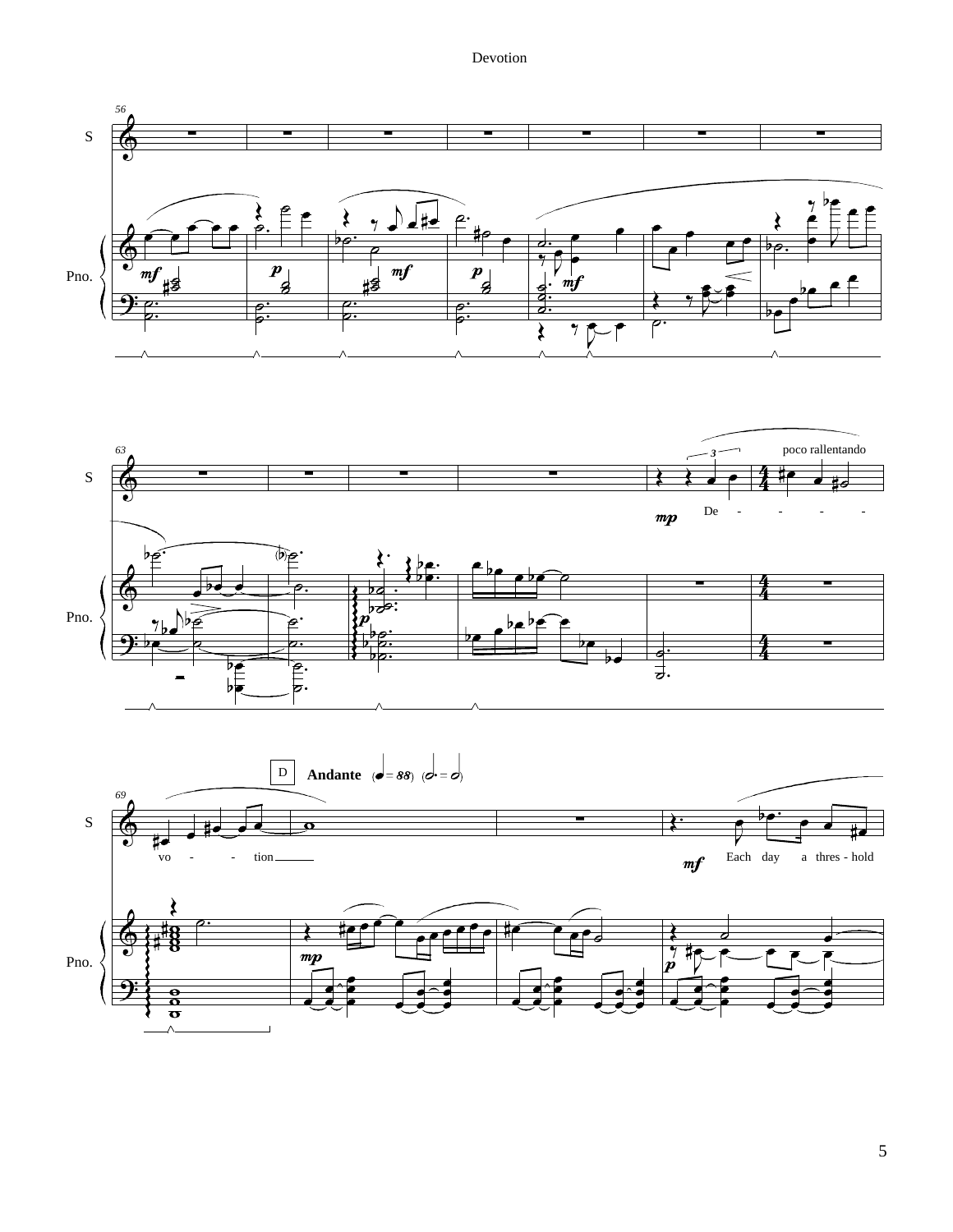

 $\overline{5}$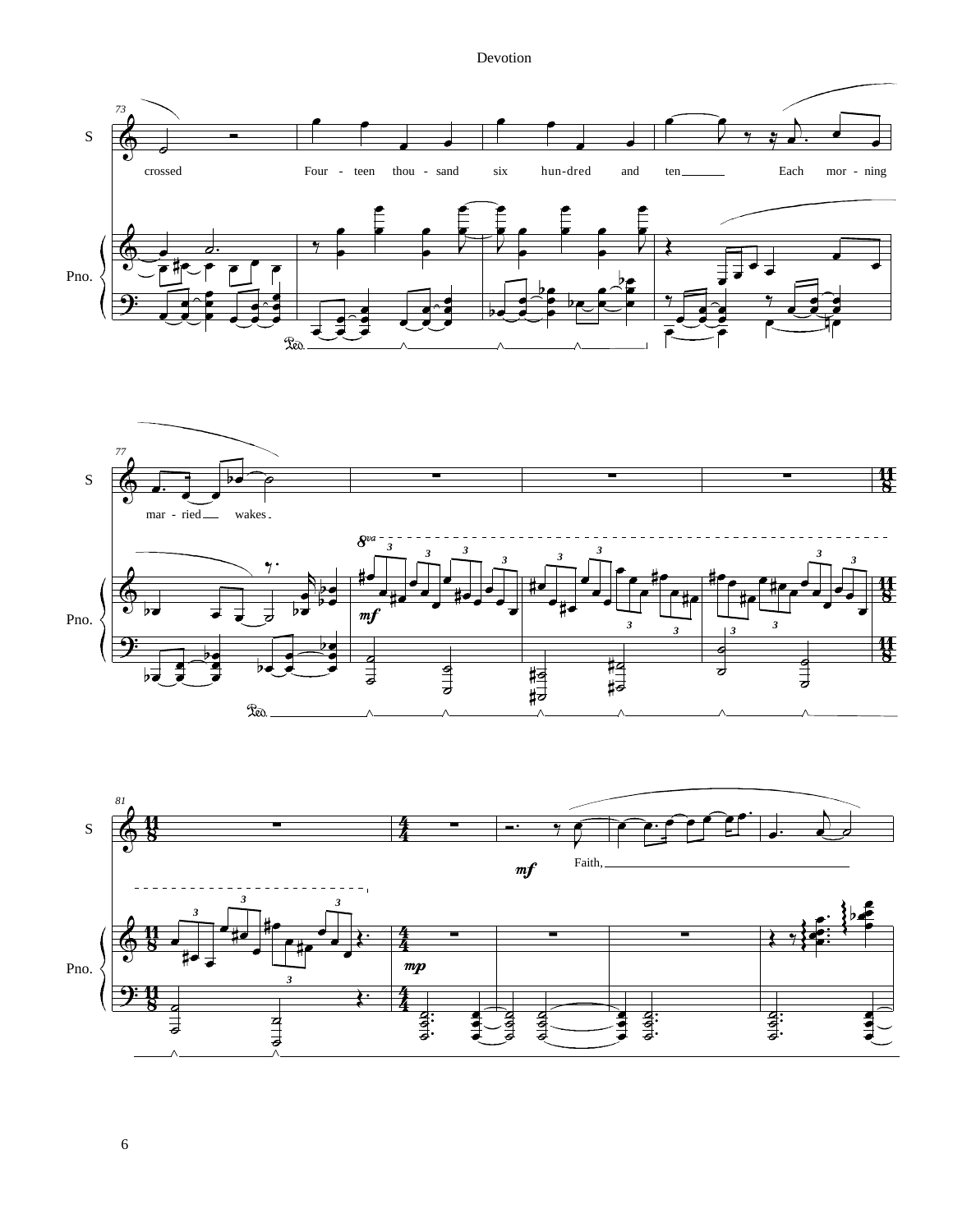



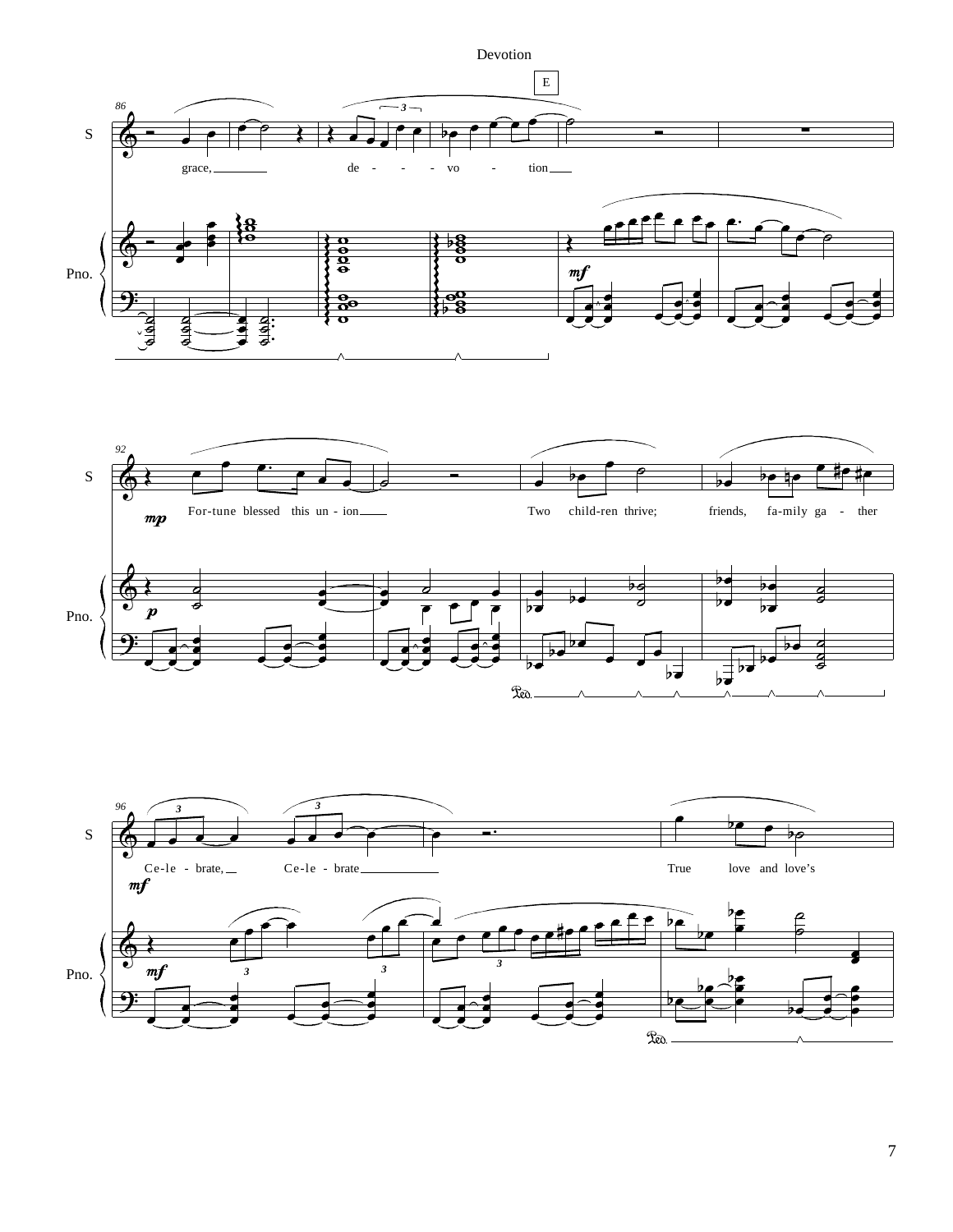